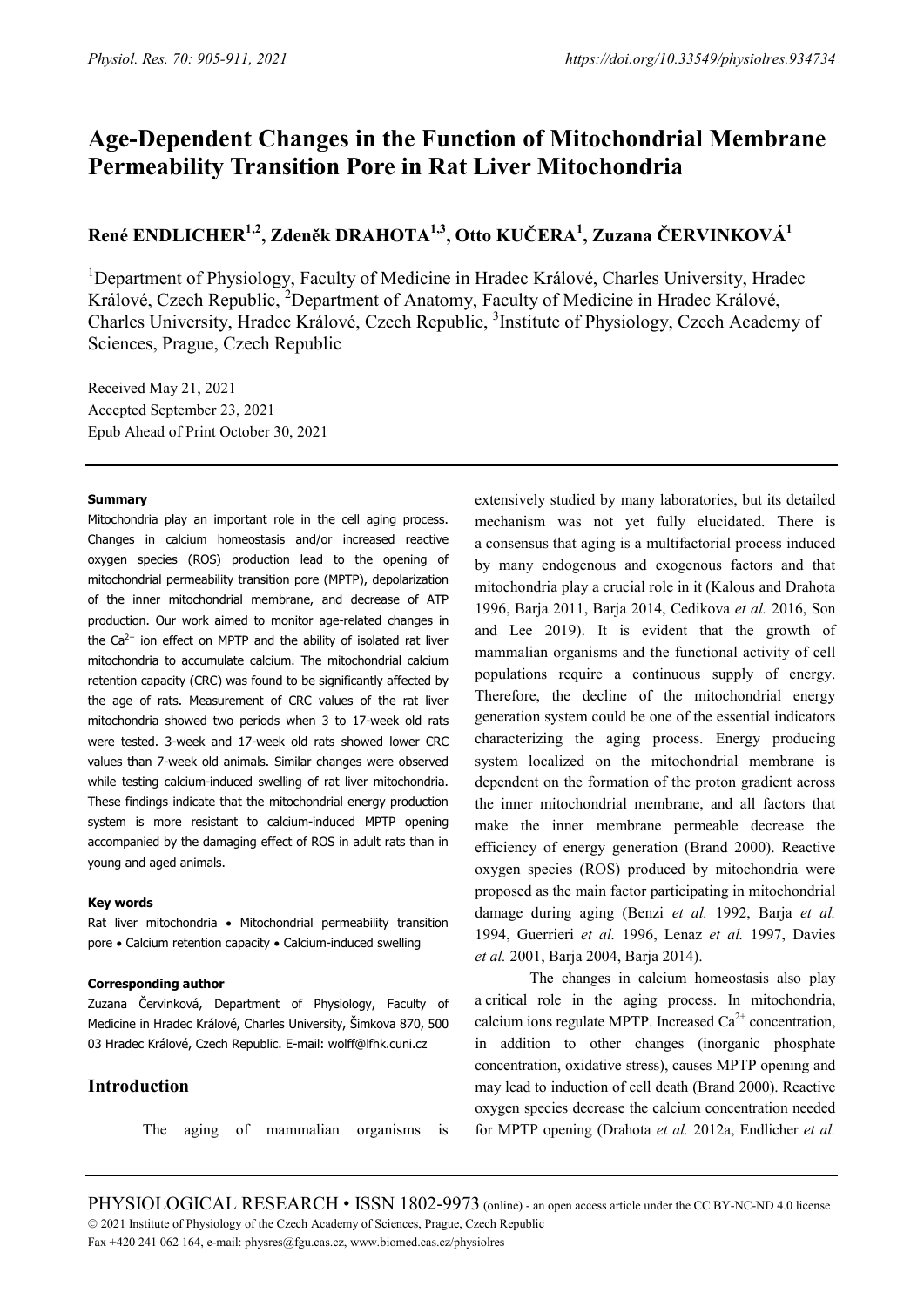# **Age-Dependent Changes in the Function of Mitochondrial Membrane Permeability Transition Pore in Rat Liver Mitochondria**

# **René ENDLICHER1,2, Zdeněk DRAHOTA1,3, Otto KUČERA<sup>1</sup> , Zuzana ČERVINKOVÁ<sup>1</sup>**

<sup>1</sup>Department of Physiology, Faculty of Medicine in Hradec Králové, Charles University, Hradec Králové, Czech Republic, <sup>2</sup>Department of Anatomy, Faculty of Medicine in Hradec Králové, Charles University, Hradec Králové, Czech Republic, <sup>3</sup>Institute of Physiology, Czech Academy of Sciences, Prague, Czech Republic

Received May 21, 2021 Accepted September 23, 2021 Epub Ahead of Print October 30, 2021

## **Summary**

Mitochondria play an important role in the cell aging process. Changes in calcium homeostasis and/or increased reactive oxygen species (ROS) production lead to the opening of mitochondrial permeability transition pore (MPTP), depolarization of the inner mitochondrial membrane, and decrease of ATP production. Our work aimed to monitor age-related changes in the  $Ca<sup>2+</sup>$  ion effect on MPTP and the ability of isolated rat liver mitochondria to accumulate calcium. The mitochondrial calcium retention capacity (CRC) was found to be significantly affected by the age of rats. Measurement of CRC values of the rat liver mitochondria showed two periods when 3 to 17-week old rats were tested. 3-week and 17-week old rats showed lower CRC values than 7-week old animals. Similar changes were observed while testing calcium-induced swelling of rat liver mitochondria. These findings indicate that the mitochondrial energy production system is more resistant to calcium-induced MPTP opening accompanied by the damaging effect of ROS in adult rats than in young and aged animals.

#### **Key words**

Rat liver mitochondria • Mitochondrial permeability transition pore • Calcium retention capacity • Calcium-induced swelling

## **Corresponding author**

Zuzana Červinková, Department of Physiology, Faculty of Medicine in Hradec Králové, Charles University, Šimkova 870, 500 03 Hradec Králové, Czech Republic. E-mail: wolff@lfhk.cuni.cz

# **Introduction**

The aging of mammalian organisms is

extensively studied by many laboratories, but its detailed mechanism was not yet fully elucidated. There is a consensus that aging is a multifactorial process induced by many endogenous and exogenous factors and that mitochondria play a crucial role in it (Kalous and Drahota 1996, Barja 2011, Barja 2014, Cedikova *et al.* 2016, Son and Lee 2019). It is evident that the growth of mammalian organisms and the functional activity of cell populations require a continuous supply of energy. Therefore, the decline of the mitochondrial energy generation system could be one of the essential indicators characterizing the aging process. Energy producing system localized on the mitochondrial membrane is dependent on the formation of the proton gradient across the inner mitochondrial membrane, and all factors that make the inner membrane permeable decrease the efficiency of energy generation (Brand 2000). Reactive oxygen species (ROS) produced by mitochondria were proposed as the main factor participating in mitochondrial damage during aging (Benzi *et al.* 1992, Barja *et al.* 1994, Guerrieri *et al.* 1996, Lenaz *et al.* 1997, Davies *et al.* 2001, Barja 2004, Barja 2014).

The changes in calcium homeostasis also play a critical role in the aging process. In mitochondria, calcium ions regulate MPTP. Increased  $Ca<sup>2+</sup>$  concentration, in addition to other changes (inorganic phosphate concentration, oxidative stress), causes MPTP opening and may lead to induction of cell death (Brand 2000). Reactive oxygen species decrease the calcium concentration needed for MPTP opening (Drahota *et al.* 2012a, Endlicher *et al.*

PHYSIOLOGICAL RESEARCH • ISSN 1802-9973 (online) - an open access article under the CC BY-NC-ND 4.0 license 2021 Institute of Physiology of the Czech Academy of Sciences, Prague, Czech Republic Fax +420 241 062 164, e-mail: physres@fgu.cas.cz, www.biomed.cas.cz/physiolres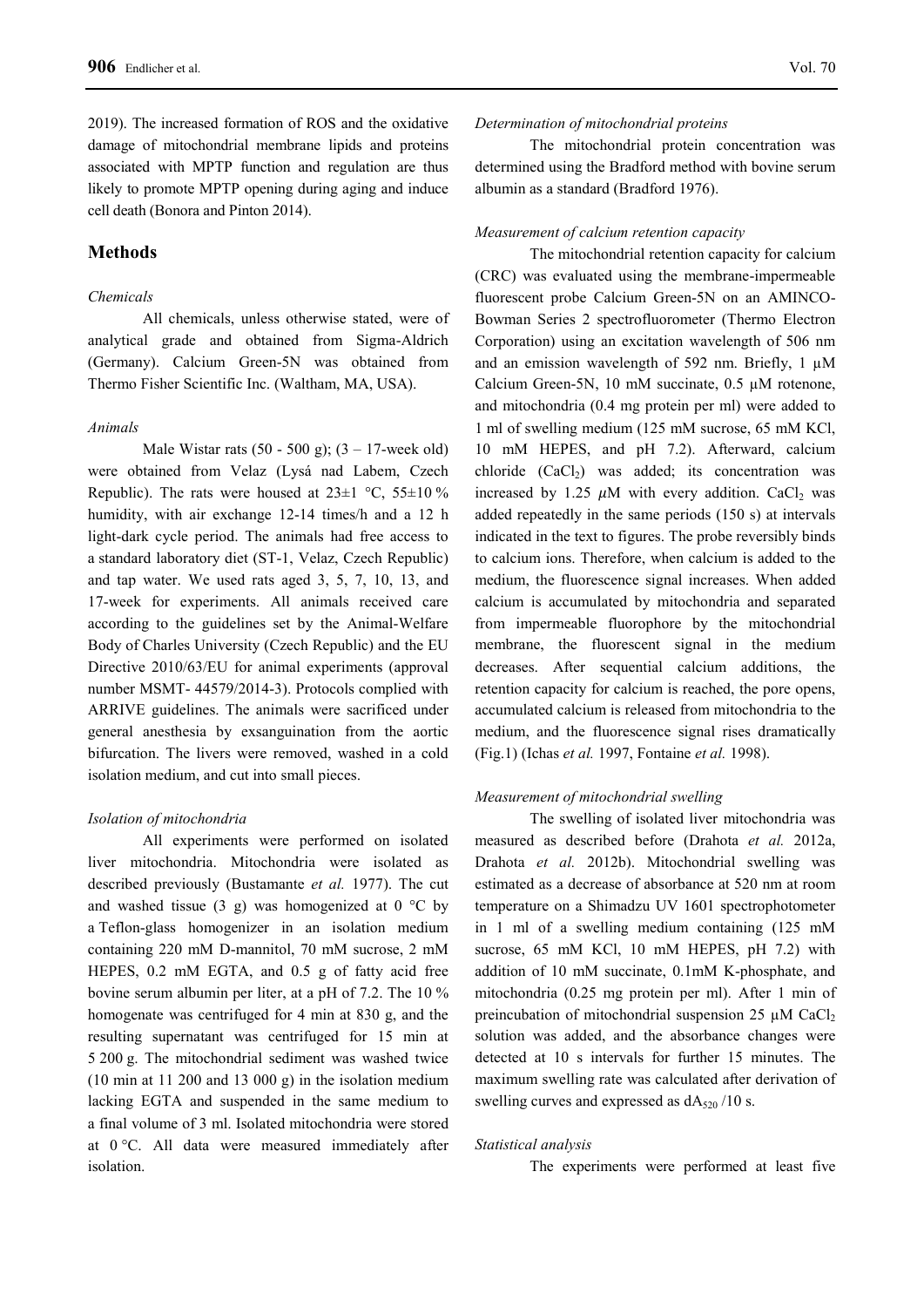2019). The increased formation of ROS and the oxidative damage of mitochondrial membrane lipids and proteins associated with MPTP function and regulation are thus likely to promote MPTP opening during aging and induce cell death (Bonora and Pinton 2014).

# **Methods**

## *Chemicals*

All chemicals, unless otherwise stated, were of analytical grade and obtained from Sigma-Aldrich (Germany). Calcium Green-5N was obtained from Thermo Fisher Scientific Inc. (Waltham, MA, USA).

### *Animals*

Male Wistar rats  $(50 - 500 \text{ g})$ ;  $(3 - 17$ -week old) were obtained from Velaz (Lysá nad Labem, Czech Republic). The rats were housed at  $23\pm1$  °C,  $55\pm10$  % humidity, with air exchange 12-14 times/h and a 12 h light-dark cycle period. The animals had free access to a standard laboratory diet (ST-1, Velaz, Czech Republic) and tap water. We used rats aged 3, 5, 7, 10, 13, and 17-week for experiments. All animals received care according to the guidelines set by the Animal-Welfare Body of Charles University (Czech Republic) and the EU Directive 2010/63/EU for animal experiments (approval number MSMT- 44579/2014-3). Protocols complied with ARRIVE guidelines. The animals were sacrificed under general anesthesia by exsanguination from the aortic bifurcation. The livers were removed, washed in a cold isolation medium, and cut into small pieces.

### *Isolation of mitochondria*

All experiments were performed on isolated liver mitochondria. Mitochondria were isolated as described previously (Bustamante *et al.* 1977). The cut and washed tissue (3 g) was homogenized at  $0^{\circ}$ C by a Teflon-glass homogenizer in an isolation medium containing 220 mM D-mannitol, 70 mM sucrose, 2 mM HEPES, 0.2 mM EGTA, and 0.5 g of fatty acid free bovine serum albumin per liter, at a pH of 7.2. The 10 % homogenate was centrifuged for 4 min at 830 g, and the resulting supernatant was centrifuged for 15 min at 5 200 g. The mitochondrial sediment was washed twice (10 min at 11 200 and 13 000 g) in the isolation medium lacking EGTA and suspended in the same medium to a final volume of 3 ml. Isolated mitochondria were stored at 0 °C. All data were measured immediately after isolation.

#### *Determination of mitochondrial proteins*

The mitochondrial protein concentration was determined using the Bradford method with bovine serum albumin as a standard (Bradford 1976).

## *Measurement of calcium retention capacity*

The mitochondrial retention capacity for calcium (CRC) was evaluated using the membrane-impermeable fluorescent probe Calcium Green-5N on an AMINCO-Bowman Series 2 spectrofluorometer (Thermo Electron Corporation) using an excitation wavelength of 506 nm and an emission wavelength of 592 nm. Briefly,  $1 \mu M$ Calcium Green-5N, 10 mM succinate, 0.5 µM rotenone, and mitochondria (0.4 mg protein per ml) were added to 1 ml of swelling medium (125 mM sucrose, 65 mM KCl, 10 mM HEPES, and pH 7.2). Afterward, calcium chloride  $(CaCl<sub>2</sub>)$  was added; its concentration was increased by 1.25  $\mu$ M with every addition. CaCl<sub>2</sub> was added repeatedly in the same periods (150 s) at intervals indicated in the text to figures. The probe reversibly binds to calcium ions. Therefore, when calcium is added to the medium, the fluorescence signal increases. When added calcium is accumulated by mitochondria and separated from impermeable fluorophore by the mitochondrial membrane, the fluorescent signal in the medium decreases. After sequential calcium additions, the retention capacity for calcium is reached, the pore opens, accumulated calcium is released from mitochondria to the medium, and the fluorescence signal rises dramatically (Fig.1) (Ichas *et al.* 1997, Fontaine *et al.* 1998).

## *Measurement of mitochondrial swelling*

The swelling of isolated liver mitochondria was measured as described before (Drahota *et al.* 2012a, Drahota *et al.* 2012b). Mitochondrial swelling was estimated as a decrease of absorbance at 520 nm at room temperature on a Shimadzu UV 1601 spectrophotometer in 1 ml of a swelling medium containing (125 mM sucrose, 65 mM KCl, 10 mM HEPES, pH 7.2) with addition of 10 mM succinate, 0.1mM K-phosphate, and mitochondria (0.25 mg protein per ml). After 1 min of preincubation of mitochondrial suspension  $25 \mu M$  CaCl<sub>2</sub> solution was added, and the absorbance changes were detected at 10 s intervals for further 15 minutes. The maximum swelling rate was calculated after derivation of swelling curves and expressed as  $dA_{520}$  /10 s.

# *Statistical analysis*

The experiments were performed at least five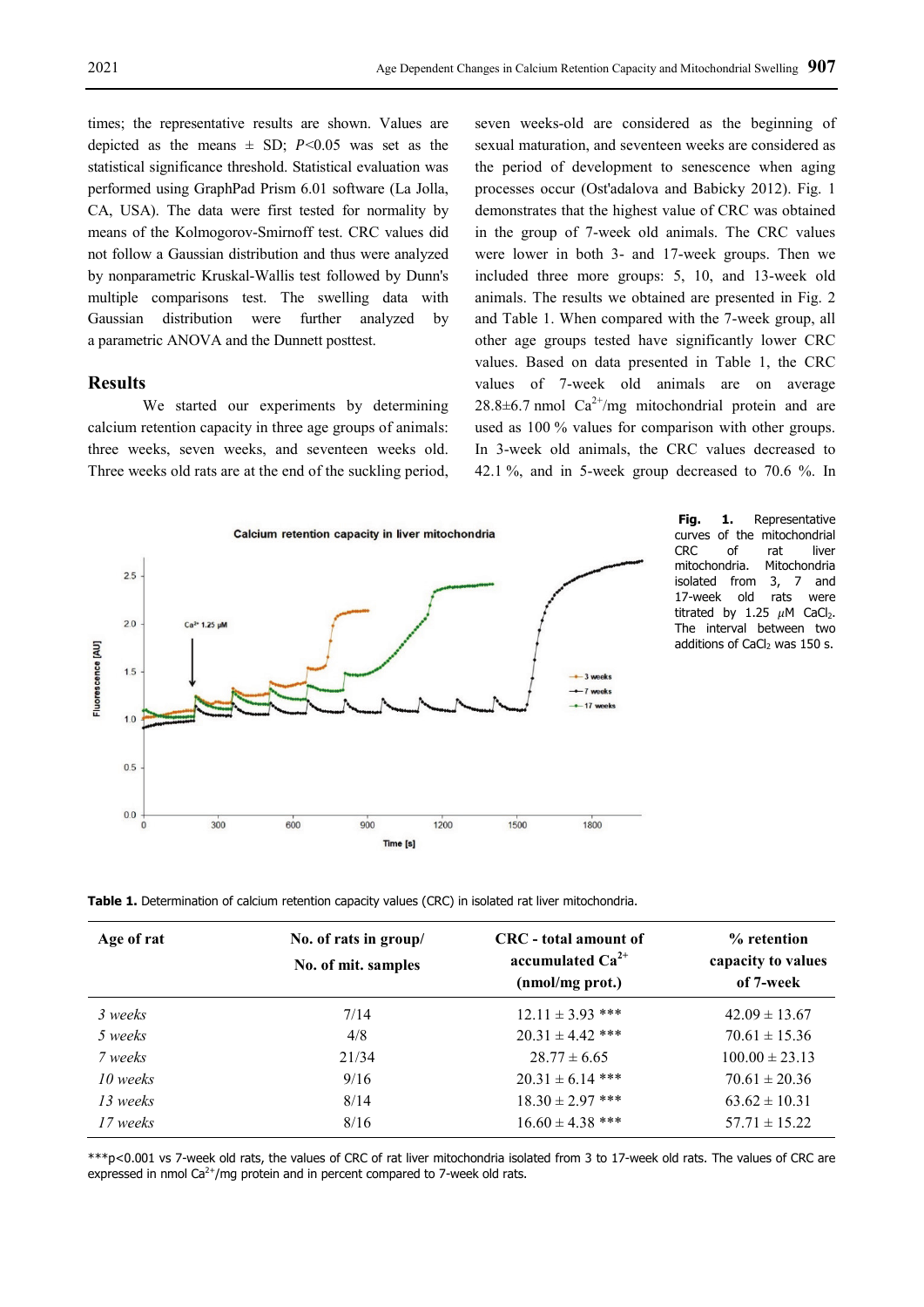times; the representative results are shown. Values are depicted as the means  $\pm$  SD; P<0.05 was set as the statistical significance threshold. Statistical evaluation was performed using GraphPad Prism 6.01 software (La Jolla, CA, USA). The data were first tested for normality by means of the Kolmogorov-Smirnoff test. CRC values did not follow a Gaussian distribution and thus were analyzed by nonparametric Kruskal-Wallis test followed by Dunn's multiple comparisons test. The swelling data with Gaussian distribution were further analyzed by a parametric ANOVA and the Dunnett posttest.

# **Results**

We started our experiments by determining calcium retention capacity in three age groups of animals: three weeks, seven weeks, and seventeen weeks old. Three weeks old rats are at the end of the suckling period, seven weeks-old are considered as the beginning of sexual maturation, and seventeen weeks are considered as the period of development to senescence when aging processes occur (Ost'adalova and Babicky 2012). Fig. 1 demonstrates that the highest value of CRC was obtained in the group of 7-week old animals. The CRC values were lower in both 3- and 17-week groups. Then we included three more groups: 5, 10, and 13-week old animals. The results we obtained are presented in Fig. 2 and Table 1. When compared with the 7-week group, all other age groups tested have significantly lower CRC values. Based on data presented in Table 1, the CRC values of 7-week old animals are on average  $28.8\pm6.7$  nmol  $Ca^{2+}/mg$  mitochondrial protein and are used as 100 % values for comparison with other groups. In 3-week old animals, the CRC values decreased to 42.1 %, and in 5-week group decreased to 70.6 %. In



**Fig. 1.** Representative curves of the mitochondrial CRC of rat liver mitochondria. Mitochondria isolated from 3, 7 and 17-week old rats were titrated by 1.25  $\mu$ M CaCl<sub>2</sub>. The interval between two additions of CaCl<sub>2</sub> was 150 s.

**Table 1.** Determination of calcium retention capacity values (CRC) in isolated rat liver mitochondria.

| Age of rat | No. of rats in group/<br>No. of mit. samples | CRC - total amount of<br>accumulated $Ca^{2+}$<br>(nmol/mg prot.) | % retention<br>capacity to values<br>of 7-week |
|------------|----------------------------------------------|-------------------------------------------------------------------|------------------------------------------------|
| 3 weeks    | 7/14                                         | $12.11 \pm 3.93$ ***                                              | $42.09 \pm 13.67$                              |
| 5 weeks    | 4/8                                          | $20.31 \pm 4.42$ ***                                              | $70.61 \pm 15.36$                              |
| 7 weeks    | 21/34                                        | $28.77 \pm 6.65$                                                  | $100.00 \pm 23.13$                             |
| 10 weeks   | 9/16                                         | $20.31 \pm 6.14$ ***                                              | $70.61 \pm 20.36$                              |
| 13 weeks   | 8/14                                         | $18.30 \pm 2.97$ ***                                              | $63.62 \pm 10.31$                              |
| 17 weeks   | 8/16                                         | $16.60 \pm 4.38$ ***                                              | $57.71 \pm 15.22$                              |

\*\*\*p<0.001 vs 7-week old rats, the values of CRC of rat liver mitochondria isolated from 3 to 17-week old rats. The values of CRC are expressed in nmol  $Ca^{2+}/mg$  protein and in percent compared to 7-week old rats.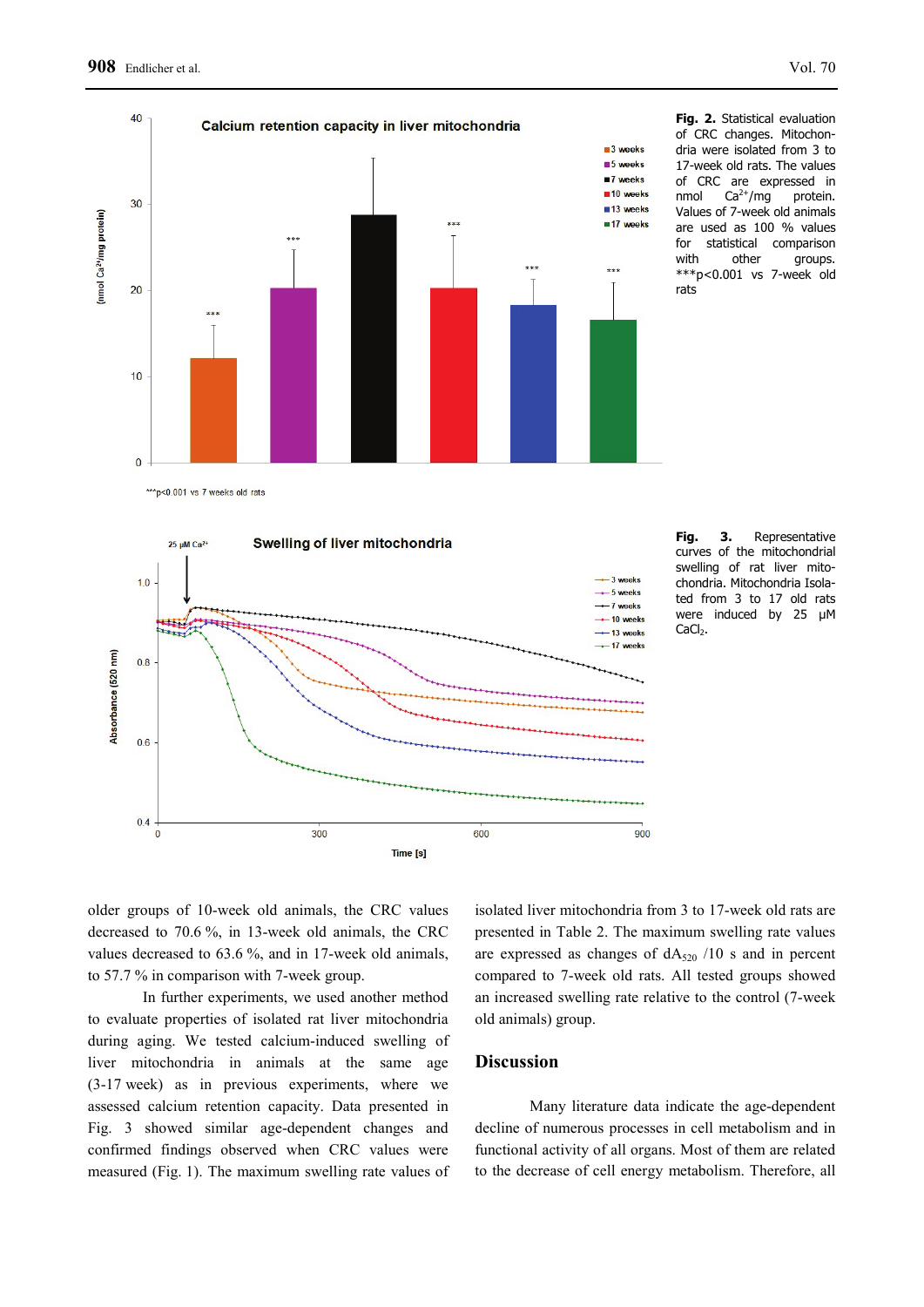

**Fig. 2.** Statistical evaluation of CRC changes. Mitochondria were isolated from 3 to 17-week old rats. The values of CRC are expressed in nmol  $Ca^{2+}/mg$  protein. Values of 7-week old animals are used as 100 % values for statistical comparison<br>with other arouns. other groups. \*\*\*p<0.001 vs 7-week old rats





**Fig. 3.** Representative curves of the mitochondrial swelling of rat liver mitochondria. Mitochondria Isolated from 3 to 17 old rats were induced by 25 µM  $CaCl<sub>2</sub>$ .

older groups of 10-week old animals, the CRC values decreased to 70.6 %, in 13-week old animals, the CRC values decreased to 63.6 %, and in 17-week old animals, to 57.7 % in comparison with 7-week group.

In further experiments, we used another method to evaluate properties of isolated rat liver mitochondria during aging. We tested calcium-induced swelling of liver mitochondria in animals at the same age (3-17 week) as in previous experiments, where we assessed calcium retention capacity. Data presented in Fig. 3 showed similar age-dependent changes and confirmed findings observed when CRC values were measured (Fig. 1). The maximum swelling rate values of isolated liver mitochondria from 3 to 17-week old rats are presented in Table 2. The maximum swelling rate values are expressed as changes of  $dA_{520}$  /10 s and in percent compared to 7-week old rats. All tested groups showed an increased swelling rate relative to the control (7-week old animals) group.

# **Discussion**

Many literature data indicate the age-dependent decline of numerous processes in cell metabolism and in functional activity of all organs. Most of them are related to the decrease of cell energy metabolism. Therefore, all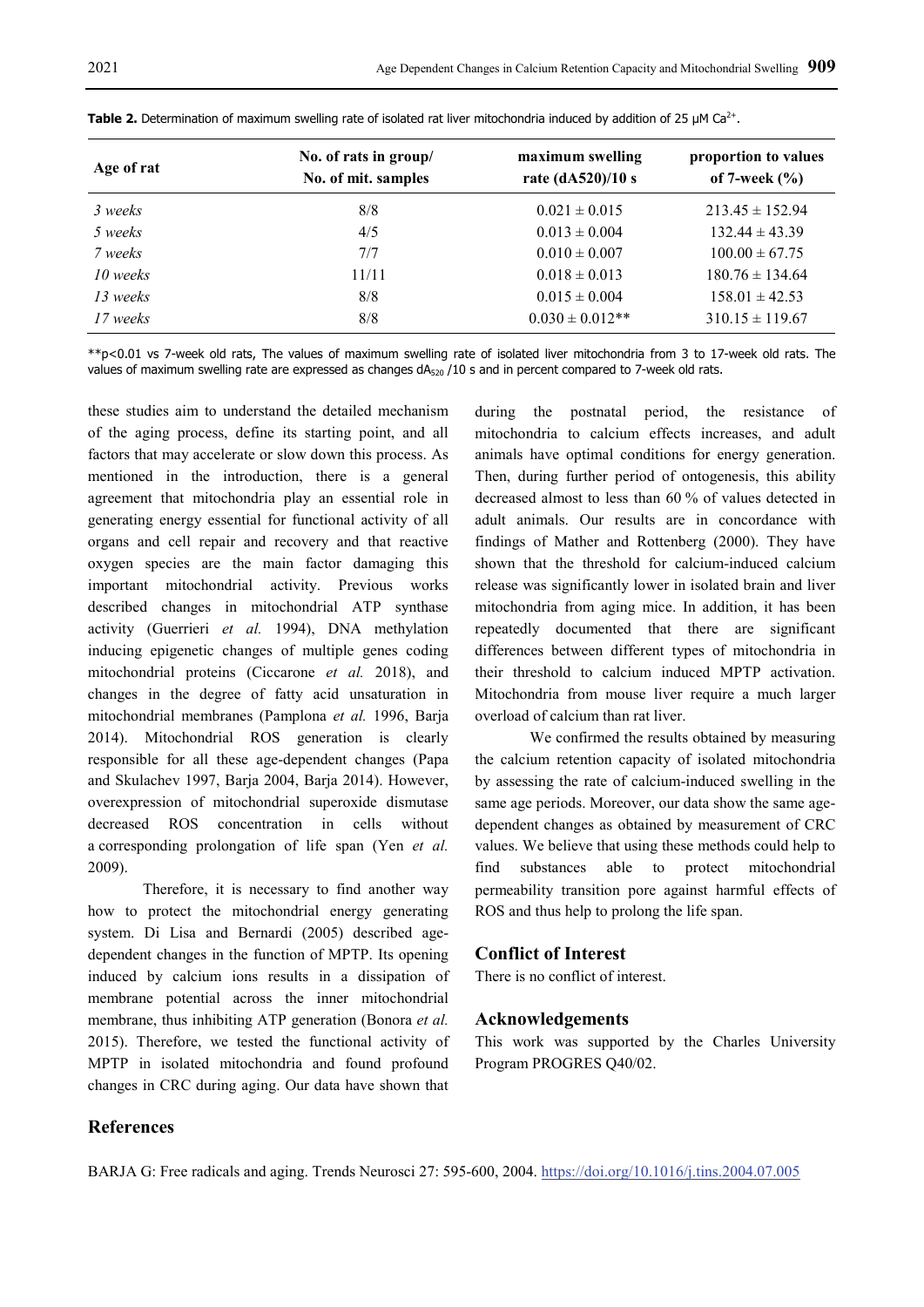| Age of rat | No. of rats in group/<br>No. of mit. samples | maximum swelling<br>rate (dA520)/10 s | proportion to values<br>of 7-week $(\%$ |
|------------|----------------------------------------------|---------------------------------------|-----------------------------------------|
| 3 weeks    | 8/8                                          | $0.021 \pm 0.015$                     | $213.45 \pm 152.94$                     |
| 5 weeks    | 4/5                                          | $0.013 \pm 0.004$                     | $132.44 \pm 43.39$                      |
| 7 weeks    | 7/7                                          | $0.010 \pm 0.007$                     | $100.00 \pm 67.75$                      |
| 10 weeks   | 11/11                                        | $0.018 \pm 0.013$                     | $180.76 \pm 134.64$                     |
| 13 weeks   | 8/8                                          | $0.015 \pm 0.004$                     | $158.01 \pm 42.53$                      |
| 17 weeks   | 8/8                                          | $0.030 \pm 0.012**$                   | $310.15 \pm 119.67$                     |

**Table 2.** Determination of maximum swelling rate of isolated rat liver mitochondria induced by addition of 25 µM Ca<sup>2+</sup>.

\*\*p<0.01 vs 7-week old rats, The values of maximum swelling rate of isolated liver mitochondria from 3 to 17-week old rats. The values of maximum swelling rate are expressed as changes  $dA_{520}$  /10 s and in percent compared to 7-week old rats.

these studies aim to understand the detailed mechanism of the aging process, define its starting point, and all factors that may accelerate or slow down this process. As mentioned in the introduction, there is a general agreement that mitochondria play an essential role in generating energy essential for functional activity of all organs and cell repair and recovery and that reactive oxygen species are the main factor damaging this important mitochondrial activity. Previous works described changes in mitochondrial ATP synthase activity (Guerrieri *et al.* 1994), DNA methylation inducing epigenetic changes of multiple genes coding mitochondrial proteins (Ciccarone *et al.* 2018), and changes in the degree of fatty acid unsaturation in mitochondrial membranes (Pamplona *et al.* 1996, Barja 2014). Mitochondrial ROS generation is clearly responsible for all these age-dependent changes (Papa and Skulachev 1997, Barja 2004, Barja 2014). However, overexpression of mitochondrial superoxide dismutase decreased ROS concentration in cells without a corresponding prolongation of life span (Yen *et al.* 2009).

Therefore, it is necessary to find another way how to protect the mitochondrial energy generating system. Di Lisa and Bernardi (2005) described agedependent changes in the function of MPTP. Its opening induced by calcium ions results in a dissipation of membrane potential across the inner mitochondrial membrane, thus inhibiting ATP generation (Bonora *et al.* 2015). Therefore, we tested the functional activity of MPTP in isolated mitochondria and found profound changes in CRC during aging. Our data have shown that

during the postnatal period, the resistance of mitochondria to calcium effects increases, and adult animals have optimal conditions for energy generation. Then, during further period of ontogenesis, this ability decreased almost to less than 60 % of values detected in adult animals. Our results are in concordance with findings of Mather and Rottenberg (2000). They have shown that the threshold for calcium-induced calcium release was significantly lower in isolated brain and liver mitochondria from aging mice. In addition, it has been repeatedly documented that there are significant differences between different types of mitochondria in their threshold to calcium induced MPTP activation. Mitochondria from mouse liver require a much larger overload of calcium than rat liver.

We confirmed the results obtained by measuring the calcium retention capacity of isolated mitochondria by assessing the rate of calcium-induced swelling in the same age periods. Moreover, our data show the same agedependent changes as obtained by measurement of CRC values. We believe that using these methods could help to find substances able to protect mitochondrial permeability transition pore against harmful effects of ROS and thus help to prolong the life span.

## **Conflict of Interest**

There is no conflict of interest.

# **Acknowledgements**

This work was supported by the Charles University Program PROGRES Q40/02.

# **References**

BARJA G: Free radicals and aging. Trends Neurosci 27: 595-600, 2004. https://doi.org/10.1016/j.tins.2004.07.005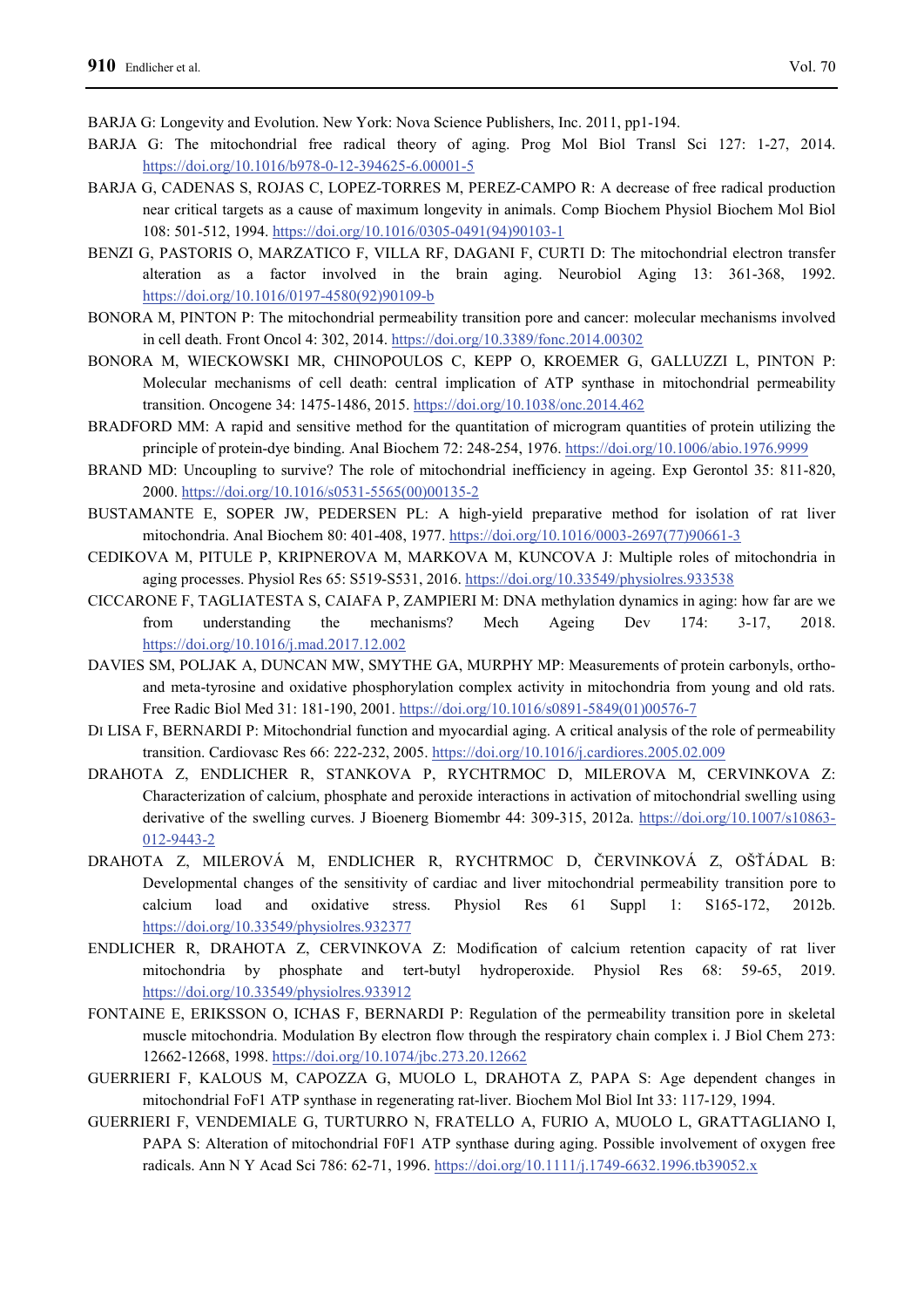BARJA G: Longevity and Evolution. New York: Nova Science Publishers, Inc. 2011, pp1-194.

- BARJA G: The mitochondrial free radical theory of aging. Prog Mol Biol Transl Sci 127: 1-27, 2014. https://doi.org/10.1016/b978-0-12-394625-6.00001-5
- BARJA G, CADENAS S, ROJAS C, LOPEZ-TORRES M, PEREZ-CAMPO R: A decrease of free radical production near critical targets as a cause of maximum longevity in animals. Comp Biochem Physiol Biochem Mol Biol 108: 501-512, 1994. https://doi.org/10.1016/0305-0491(94)90103-1
- BENZI G, PASTORIS O, MARZATICO F, VILLA RF, DAGANI F, CURTI D: The mitochondrial electron transfer alteration as a factor involved in the brain aging. Neurobiol Aging 13: 361-368, 1992. https://doi.org/10.1016/0197-4580(92)90109-b
- BONORA M, PINTON P: The mitochondrial permeability transition pore and cancer: molecular mechanisms involved in cell death. Front Oncol 4: 302, 2014. https://doi.org/10.3389/fonc.2014.00302
- BONORA M, WIECKOWSKI MR, CHINOPOULOS C, KEPP O, KROEMER G, GALLUZZI L, PINTON P: Molecular mechanisms of cell death: central implication of ATP synthase in mitochondrial permeability transition. Oncogene 34: 1475-1486, 2015. https://doi.org/10.1038/onc.2014.462
- BRADFORD MM: A rapid and sensitive method for the quantitation of microgram quantities of protein utilizing the principle of protein-dye binding. Anal Biochem 72: 248-254, 1976. https://doi.org/10.1006/abio.1976.9999
- BRAND MD: Uncoupling to survive? The role of mitochondrial inefficiency in ageing. Exp Gerontol 35: 811-820, 2000. https://doi.org/10.1016/s0531-5565(00)00135-2
- BUSTAMANTE E, SOPER JW, PEDERSEN PL: A high-yield preparative method for isolation of rat liver mitochondria. Anal Biochem 80: 401-408, 1977. https://doi.org/10.1016/0003-2697(77)90661-3
- CEDIKOVA M, PITULE P, KRIPNEROVA M, MARKOVA M, KUNCOVA J: Multiple roles of mitochondria in aging processes. Physiol Res 65: S519-S531, 2016. https://doi.org/10.33549/physiolres.933538
- CICCARONE F, TAGLIATESTA S, CAIAFA P, ZAMPIERI M: DNA methylation dynamics in aging: how far are we from understanding the mechanisms? Mech Ageing Dev 174: 3-17, 2018. https://doi.org/10.1016/j.mad.2017.12.002
- DAVIES SM, POLJAK A, DUNCAN MW, SMYTHE GA, MURPHY MP: Measurements of protein carbonyls, orthoand meta-tyrosine and oxidative phosphorylation complex activity in mitochondria from young and old rats. Free Radic Biol Med 31: 181-190, 2001. https://doi.org/10.1016/s0891-5849(01)00576-7
- DI LISA F, BERNARDI P: Mitochondrial function and myocardial aging. A critical analysis of the role of permeability transition. Cardiovasc Res 66: 222-232, 2005. https://doi.org/10.1016/j.cardiores.2005.02.009
- DRAHOTA Z, ENDLICHER R, STANKOVA P, RYCHTRMOC D, MILEROVA M, CERVINKOVA Z: Characterization of calcium, phosphate and peroxide interactions in activation of mitochondrial swelling using derivative of the swelling curves. J Bioenerg Biomembr 44: 309-315, 2012a. https://doi.org/10.1007/s10863-012-9443-2
- DRAHOTA Z, MILEROVÁ M, ENDLICHER R, RYCHTRMOC D, ČERVINKOVÁ Z, OŠŤÁDAL B: Developmental changes of the sensitivity of cardiac and liver mitochondrial permeability transition pore to calcium load and oxidative stress. Physiol Res 61 Suppl 1: S165-172, 2012b. https://doi.org/10.33549/physiolres.932377
- ENDLICHER R, DRAHOTA Z, CERVINKOVA Z: Modification of calcium retention capacity of rat liver mitochondria by phosphate and tert-butyl hydroperoxide. Physiol Res 68: 59-65, 2019. https://doi.org/10.33549/physiolres.933912
- FONTAINE E, ERIKSSON O, ICHAS F, BERNARDI P: Regulation of the permeability transition pore in skeletal muscle mitochondria. Modulation By electron flow through the respiratory chain complex i. J Biol Chem 273: 12662-12668, 1998. https://doi.org/10.1074/jbc.273.20.12662
- GUERRIERI F, KALOUS M, CAPOZZA G, MUOLO L, DRAHOTA Z, PAPA S: Age dependent changes in mitochondrial FoF1 ATP synthase in regenerating rat-liver. Biochem Mol Biol Int 33: 117-129, 1994.
- GUERRIERI F, VENDEMIALE G, TURTURRO N, FRATELLO A, FURIO A, MUOLO L, GRATTAGLIANO I, PAPA S: Alteration of mitochondrial F0F1 ATP synthase during aging. Possible involvement of oxygen free radicals. Ann N Y Acad Sci 786: 62-71, 1996. https://doi.org/10.1111/j.1749-6632.1996.tb39052.x